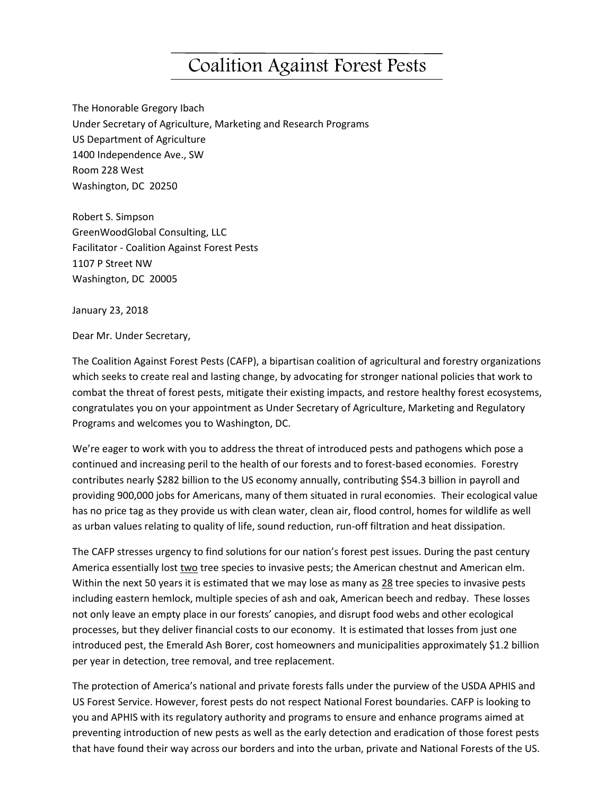## Coalition Against Forest Pests

The Honorable Gregory Ibach Under Secretary of Agriculture, Marketing and Research Programs US Department of Agriculture 1400 Independence Ave., SW Room 228 West Washington, DC 20250

Robert S. Simpson GreenWoodGlobal Consulting, LLC Facilitator - Coalition Against Forest Pests 1107 P Street NW Washington, DC 20005

January 23, 2018

Dear Mr. Under Secretary,

The Coalition Against Forest Pests (CAFP), a bipartisan coalition of agricultural and forestry organizations which seeks to create real and lasting change, by advocating for stronger national policies that work to combat the threat of forest pests, mitigate their existing impacts, and restore healthy forest ecosystems, congratulates you on your appointment as Under Secretary of Agriculture, Marketing and Regulatory Programs and welcomes you to Washington, DC.

We're eager to work with you to address the threat of introduced pests and pathogens which pose a continued and increasing peril to the health of our forests and to forest-based economies. Forestry contributes nearly \$282 billion to the US economy annually, contributing \$54.3 billion in payroll and providing 900,000 jobs for Americans, many of them situated in rural economies. Their ecological value has no price tag as they provide us with clean water, clean air, flood control, homes for wildlife as well as urban values relating to quality of life, sound reduction, run-off filtration and heat dissipation.

The CAFP stresses urgency to find solutions for our nation's forest pest issues. During the past century America essentially lost two tree species to invasive pests; the American chestnut and American elm. Within the next 50 years it is estimated that we may lose as many as 28 tree species to invasive pests including eastern hemlock, multiple species of ash and oak, American beech and redbay. These losses not only leave an empty place in our forests' canopies, and disrupt food webs and other ecological processes, but they deliver financial costs to our economy. It is estimated that losses from just one introduced pest, the Emerald Ash Borer, cost homeowners and municipalities approximately \$1.2 billion per year in detection, tree removal, and tree replacement.

The protection of America's national and private forests falls under the purview of the USDA APHIS and US Forest Service. However, forest pests do not respect National Forest boundaries. CAFP is looking to you and APHIS with its regulatory authority and programs to ensure and enhance programs aimed at preventing introduction of new pests as well as the early detection and eradication of those forest pests that have found their way across our borders and into the urban, private and National Forests of the US.